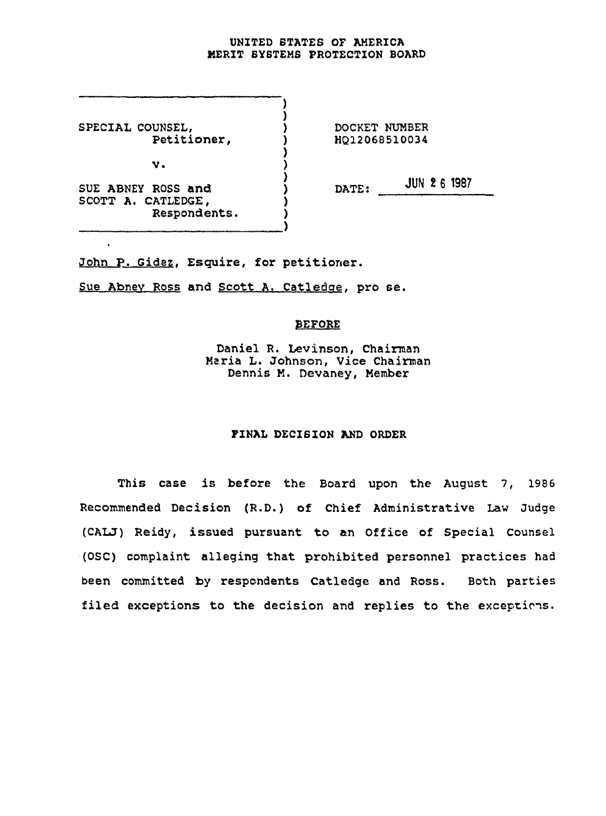## UNITED STATES OF AMERICA MERIT SYSTEMS PROTECTION BOARD

SPECIAL COUNSEL,  $\overline{)}$  DOCKET NUMBER<br>Petitioner,  $\overline{)}$  HQ12068510034 Petitioner,  $v.$  ) SUE ABNEY ROSS and  $\overrightarrow{)}$  DATE:  $\overrightarrow{JUN 2 6 198}$ SUE ABNEY ROSS and ()<br>SCOTT A. CATLEDGE, () Respondents. )

John P. Gidez, Esquire, for petitioner.

Sue Abney Ross and Scott A. Catledge. pro se.

## BEFORE

Daniel R. Levinson, Chairman Maria L. Johnson, Vice Chairman Dennis K. Devaney, Member

## FINAL DECISION AND ORDER

This case is before the Board upon the August 7, 1986 Recommended Decision (R.D.) of Chief Administrative Law Judge (CALJ) Reidy, issued pursuant to an Office of Special Counsel (OSC) complaint alleging that prohibited personnel practices had been committed by respondents Catledge and Ross. Both parties filed exceptions to the decision and replies to the exceptions.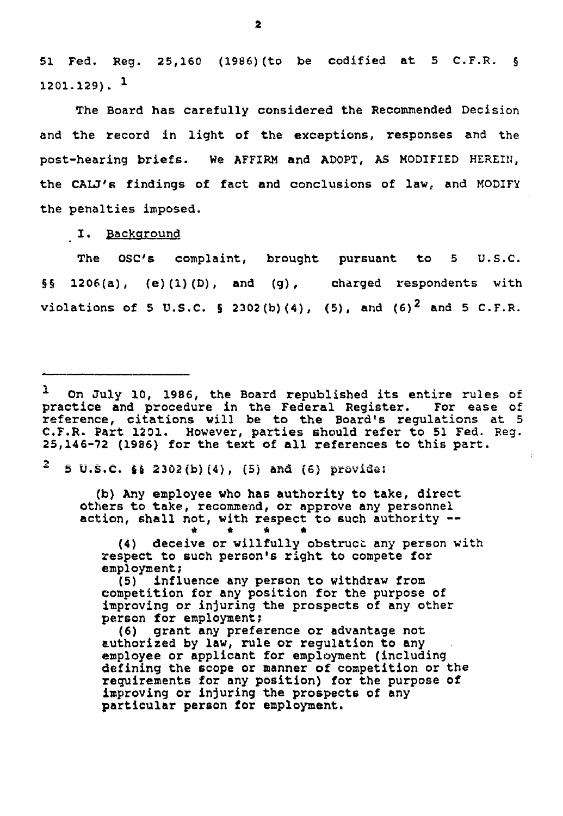51 Fed. Reg. 25,160 (1966) (to be codified at 5 C.F.R. § 1201.129). <sup>1</sup>

The Board has carefully considered the Recommended Decision and the record in light of the exceptions, responses and the post-hearing briefs. We AFFIRM and ADOPT, AS MODIFIED HEREIN, the CALJ's findings of fact and conclusions of law, and MODIFY the penalties imposed.

I. Background

The OSC's complaint, brought pursuant to 5 U.S.C. §§ 1206(a), (e)(l)(D), and (g) , charged respondents with violations of 5 U.S.C. § 2302(b)(4), (5), and (6)<sup>2</sup> and 5 C.F.R.

 $2$  5 U.S.C. § 2302(b)(4), (5) and (6) provide:

(b) Any employee who has authority to take, direct others to take, recommend, or approve any personnel action, shall not, with respect to such authority --

\* \* \* \*

(4) deceive or willfully obstruct any person with respect to such person's right to compete for employment?

(5) influence any person to withdraw from competition for any position for the purpose of improving or injuring the prospects of any other person for employment?

(6) grant any preference or advantage not authorized by law, rule or regulation to any employee or applicant for employment (including defining the scope or manner of competition or the requirements for any position) for the purpose of improving or injuring the prospects of any particular person for employment.

J On July 10, 1986, the Board republished its entire rules of practice and procedure in the Federal Register. For ease of reference, citations will be to the Board's regulations at 5 C.F.R. Part 1201. However, parties should refer to 51 Fed. Reg. 25,146-72 (1986) for the text of all references to this part.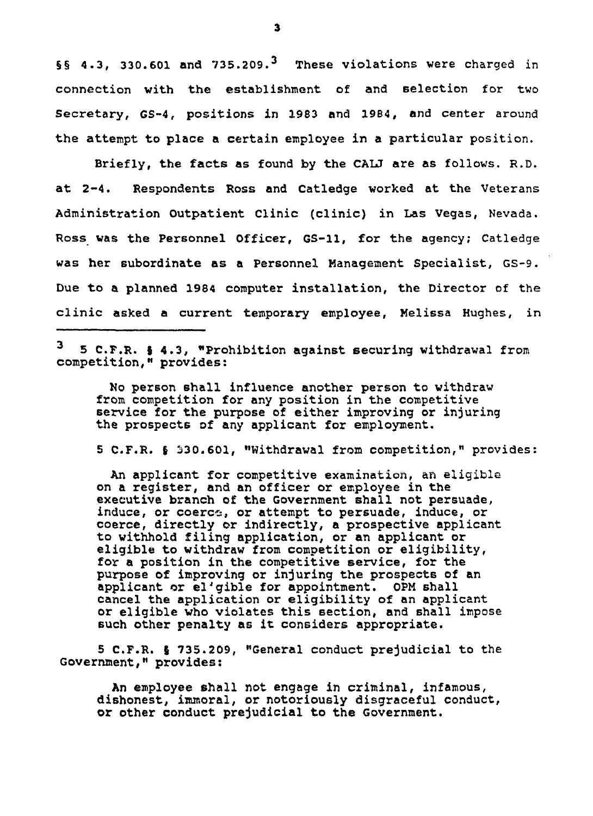§§ 4.3, 330.601 and  $735.209.<sup>3</sup>$  These violations were charged in connection with the establishment of and selection for two Secretary, GS-4, positions in 1983 and 1984, and center around the attempt to place a certain employee in a particular position.

Briefly, the facts as found by the CAU are as follows. R.D. at 2-4. Respondents Ross and Catledge worked at the Veterans Administration Outpatient Clinic (clinic) in Las Vegas, Nevada. Ross was the Personnel Officer, GS-11, for the agency; Catledge was her subordinate as a Personnel Management Specialist, GS-9. Due to a planned 1984 computer installation, the Director of the clinic asked a current temporary employee, Melissa Hughes, in

<sup>3</sup> 5 C.F.R. § 4.3, "Prohibition against securing withdrawal from competition," provides:

Ho person shall influence another person to withdraw from competition for any position in the competitive service for the purpose of either improving or injuring the prospects of any applicant for employment.

5 C.F.R. § 330.601, "Withdrawal from competition," provides

An applicant for competitive examination, an eligible on a register, and an officer or employee in the executive branch of the Government shall not persuade, induce, or coerce, or attempt to persuade, induce, or coerce, directly or indirectly, a prospective applicant to withhold filing application, or an applicant or eligible to withdraw from competition or eligibility, for a position in the competitive service, for the purpose of improving or injuring the prospects of an applicant or el'gible for appointment. OPM shall cancel the application or eligibility of an applicant or eligible who violates this section, and shall impose such other penalty as it considers appropriate.

5 C.F.R. I 735.209, "General conduct prejudicial to the Government," provides:

An employee shall not engage in criminal, infamous, dishonest, immoral, or notoriously disgraceful conduct, or other conduct prejudicial to the Government.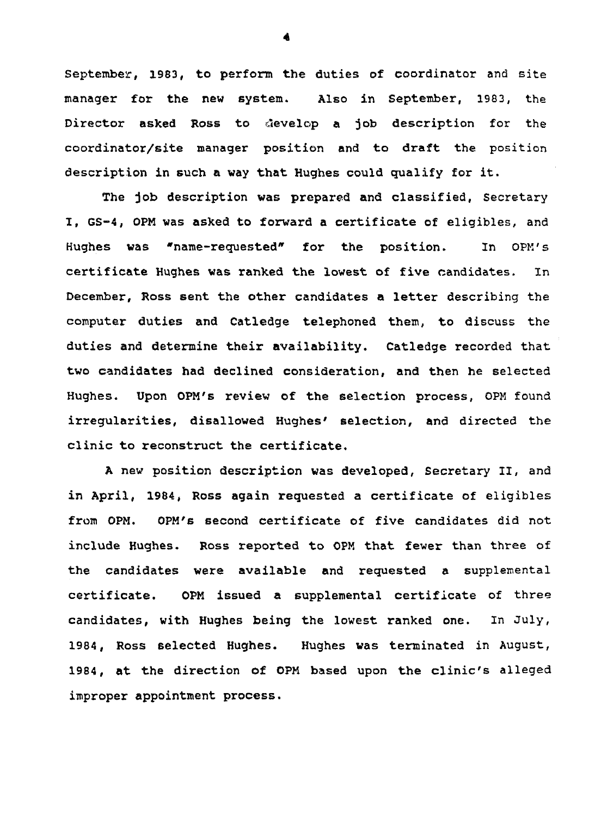September, 1983, to perform the duties of coordinator and site manager for the new system. Also in September, 1983, the Director asked Ross to develop a job description for the coordinator/site manager position and to draft the position description in such a way that Hughes could qualify for it.

The job description was prepared and classified, Secretary I, GS-4, 0PM was asked to forward a certificate of eligibles, and Hughes was "name-requested\* for the position. In OPM's certificate Hughes was ranked the lowest of five candidates. In December, Ross sent the other candidates a letter describing the computer duties and Catledge telephoned them, to discuss the duties and determine their availability. Catledge recorded that two candidates had declined consideration, and then he selected Hughes. Upon OPM's review of the selection process, 0PM found irregularities, disallowed Hughes' selection, and directed the clinic to reconstruct the certificate.

A new position description was developed, Secretary II, and in April, 1984, Ross again requested a certificate of eligibles from 0PM. OPM's second certificate of five candidates did not include Hughes. Ross reported to 0PM that fewer than three of the candidates were available and requested a supplemental certificate. 0PM issued a supplemental certificate of three candidates, with Hughes being the lowest ranked one. In July, 1984, Ross selected Hughes. Hughes was terminated in August, 1984, at the direction of OPM based upon the clinic's alleged improper appointment process.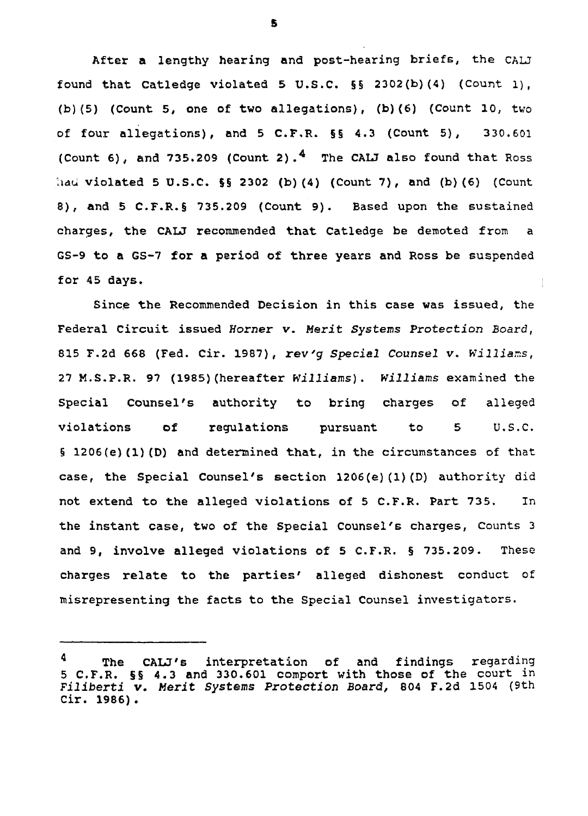After a lengthy hearing and post-hearing briefs, the CALJ found that Catledge violated 5 U.S.C. §§ 2302(b)(4) (Count 1) , (b) (5) (Count 5, one of two allegations), (b) (6) (Count 10, two of four allegations), and 5 C.F,R. §§ 4.3 (Count 5), 330.601 (Count 6), and 735.209 (Count 2).<sup>4</sup> The CALJ also found that Ross had violated 5 U.S.C. §§ 2302 (b)(4) (Count 7), and (b)(6) (Count 8), and 5 C.F.R. § 735.209 (Count 9). Based upon the sustained charges, the CAU recommended that Catledge be demoted from a GS-9 to a GS-7 for a period of three years and Ross be suspended for 45 days.

 $\frac{1}{2}$ 

Since the Recommended Decision in this case was issued, the Federal Circuit issued Homer v. Merit Systems Protection Board, 815 F.2d 668 (Fed. Cir. 1987), rev'g Special Counsel v. Williams, 27 M.S.P.R. 97 (1985)(hereafter Williams). Williams examined the Special Counsel's authority to bring charges of alleged violations of regulations pursuant to 5 U.S.C. § 1206(e)(1)(D) and determined that, in the circumstances of that case, the Special Counsel's section 1206(e)(1)(D) authority did not extend to the alleged violations of 5 C.F.R. Part 735. In the instant case, two of the Special Counsel's charges, Counts 3 and 9, involve alleged violations of 5 C.F.R. § 735.209. These charges relate to the parties' alleged dishonest conduct of misrepresenting the facts to the Special Counsel investigators.

s

The CALJ's interpretation of and findings regarding 5 C.F.R. §§ 4.3 and 330.601 comport with those of the court in Filiberti v. Merit Systems Protection Board, 804 F.2d 1504 (9th Cir. 1986) .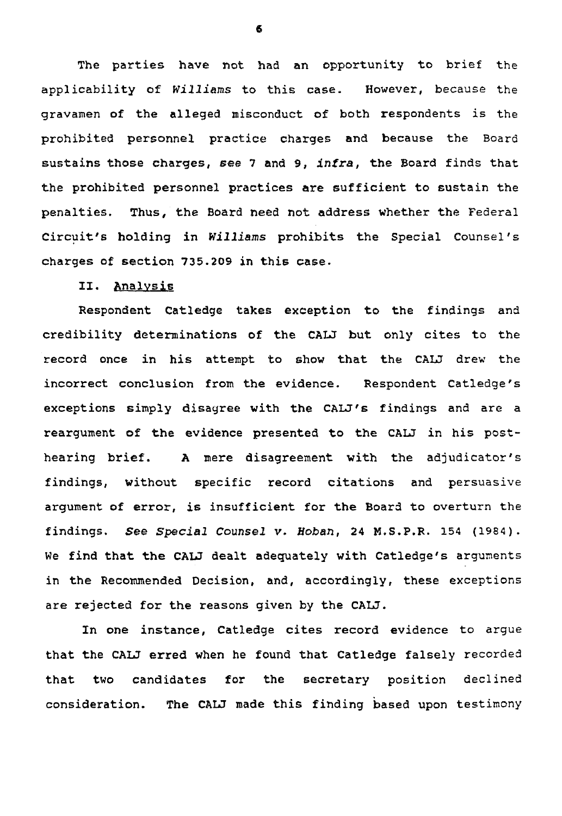The parties have not had an opportunity to brief the applicability of Williams to this case. However, because the gravamen of the alleged misconduct of both respondents is the prohibited personnel practice charges and because the Board sustains those charges, see 7 and 9, infra, the Board finds that the prohibited personnel practices are sufficient to sustain the penalties. Thus, the Board need not address whether the Federal Circuit's holding in Williams prohibits the Special Counsel's charges of section 735.209 in this case.

II. Analysis

Respondent Catledge takes exception to the findings and credibility determinations of the CAU but only cites to the record once in his attempt to show that the CALJ drew the incorrect conclusion from the evidence. Respondent Catledge's exceptions simply disagree with the CALJ's findings and are a reargument of the evidence presented to the CALJ in his posthearing brief, A mere disagreement with the adjudicator's findings, without specific record citations and persuasive argument of error, is insufficient for the Board to overturn the findings. See Special Counsel v, Boban, 24 M.S.P.R. 154 (1984). We find that the CALJ dealt adequately with Catledge's arguments in the Recommended Decision, and, accordingly, these exceptions are rejected for the reasons given by the CALJ.

In one instance, Catledge cites record evidence to argue that the CALJ erred when he found that Catledge falsely recorded that two candidates for the secretary position declined consideration. The CALJ made this finding based upon testimony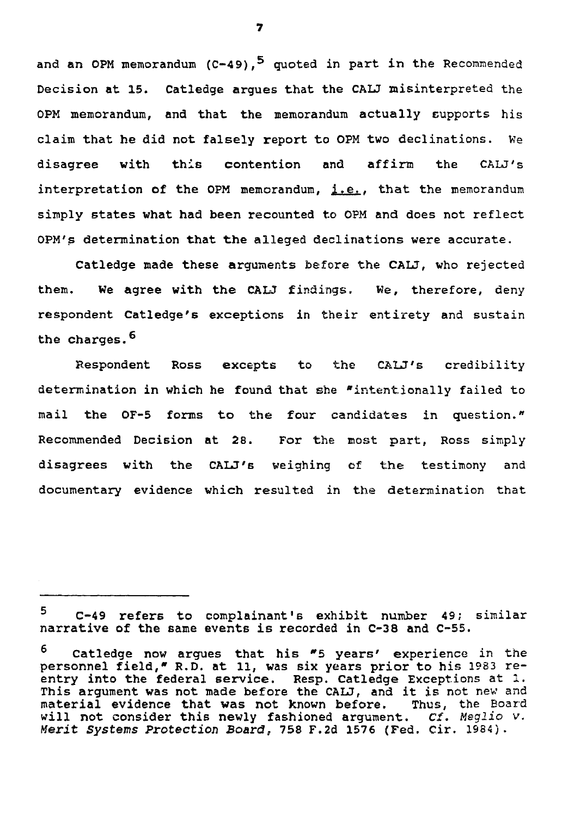and <mark>an OPM memorandum (C-49),<sup>5</sup> quoted in part in the Recommended</mark> Decision at 15. Catledge argues that the CALJ misinterpreted the OPM memorandum, and that the memorandum actually supports his claim that he did not falsely report to OPM two declinations. We disagree with this contention and affirm the CALJ's interpretation of the OPM memorandum,  $i.e.,$  that the memorandum simply states what had been recounted to OPM and does not reflect OPM's determination that the alleged declinations were accurate.

Catledge made these arguments before the CALJ, who rejected them. We agree with the CALJ findings. We, therefore, deny respondent Catledge's exceptions in their entirety and sustain the charges.<sup>6</sup>

Respondent Ross excepts to the CALJ's credibility determination in which he found that she "intentionally failed to mail the OF-5 forms to the four candidates in question." Recommended Decision at 28. For the most part, Ross simply disagrees with the CALJ's weighing of the testimony and documentary evidence which resulted in the determination that

<sup>5</sup> C-49 refers to complainant's exhibit number 49; similar narrative of the same events is recorded in C-38 and C-55.

<sup>6</sup> Catledge now argues that his \*5 years' experience in the personnel field,\* R.D. at 11, was six years prior to his 1983 reentry into the federal service. Resp. Catledge Exceptions at 1. This argument was not made before the CALJ, and it is not new and material evidence that was not known before. Thus, the Board will not consider this newly fashioned argument.  $C\hat{f}$ . Meglio  $V$ . Merit Systems Protection Board, 758 F.2d 1576 (Fed. Cir. 1984).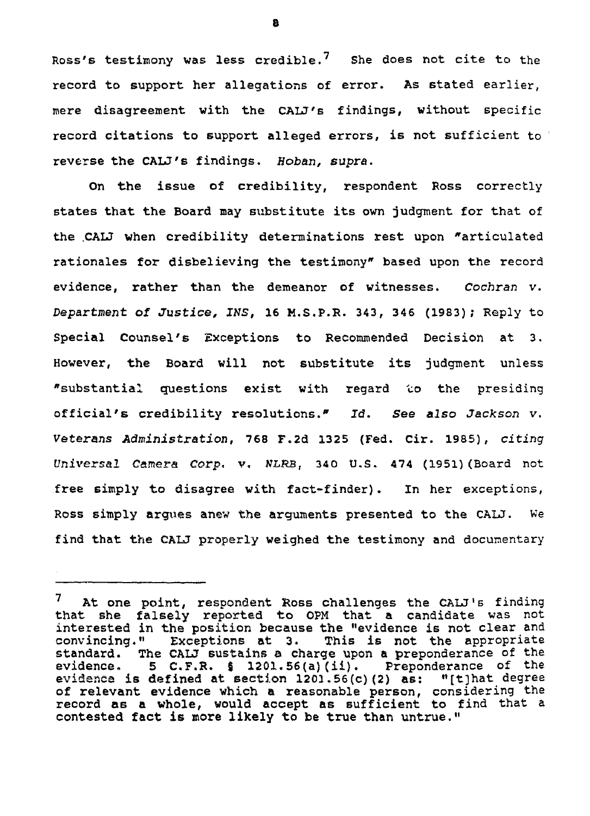Ross's testimony was less credible.<sup>7</sup> She does not cite to the record to support her allegations of error. As stated earlier, mere disagreement with the CALJ's findings, without specific record citations to support alleged errors, is not sufficient to reverse the CALJ's findings, Hoban, supra.

On the issue of credibility, respondent Ross correctly states that the Board may substitute its own judgment for that of the .CALJ when credibility determinations rest upon "articulated rationales for disbelieving the testimony" based upon the record evidence, rather than the demeanor of witnesses. Cochran v. Department of Justice, INS, 16 M.S.P.R. 343, 346 (1983); Reply to Special Counsel's Exceptions to Recommended Decision at 3. However, the Board will not substitute its judgment unless "substantial questions exist with regard to the presiding official's credibility resolutions.\* Id. See also Jackson v. Veterans Administration, 768 F.2d 1325 (Fed. Cir. 1985), citing Universal Camera Corp, v, NLRB, 340 U.S. 474 (1951) (Board not free simply to disagree with fact-finder). In her exceptions, Ross simply argues anew the arguments presented to the CALJ. We find that the CALJ properly weighed the testimony and documentary

 $7$  At one point, respondent Ross challenges the CALJ's finding that she falsely reported to 0PM that a candidate was not interested in the position because the "evidence is not clear and convincing." Exceptions at 3. This is not the appropriate standard. The CALJ sustains a charge upon a preponderance of the evidence. 5  $C.F.R.$  § 1201.56(a)(ii). Preponderance of the evidence is defined at section 1201,56(c) (2) as: »'[t]hat degree of relevant evidence which a reasonable person, considering the record as a whole, would accept as sufficient to find that a contested fact is more likely to be true than untrue."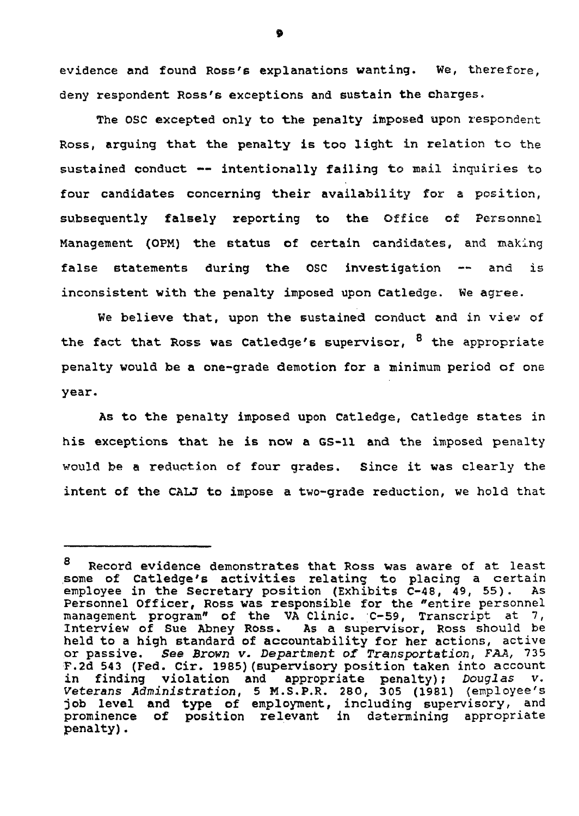evidence and found Ross's explanations wanting. We, therefore, deny respondent Ross's exceptions and sustain the charges.

The OSC excepted only to the penalty imposed upon respondent Ross, arguing that the penalty is too light in relation to the sustained conduct  $--$  intentionally failing to mail inquiries to four candidates concerning their availability for a position, subsequently falsely reporting to the Office of Personnel Management (OPM) the status of certain candidates, and making false statements during the OSC investigation -- and is inconsistent with the penalty imposed upon Catledge. We agree.

We believe that, upon the sustained conduct and in view of the fact that Ross was Catledge's supervisor, <sup>8</sup> the appropriate penalty would be a one-grade demotion for a minimum period of one year.

As to the penalty imposed upon Catledge, Catledge states in his exceptions that he is now a GS-11 and the imposed penalty would be a reduction of four grades. Since it was clearly the intent of the CALJ to impose a two-grade reduction, we hold that

ø

o Record evidence demonstrates that Ross was aware of at least some of Catledge's activities relating to placing a certain<br>emplovee in the Secretary position (Exhibits C-48, 49, 55). As employee in the Secretary position (Exhibits  $C-48$ ,  $49$ , 55). Personnel Officer, Ross was responsible for the "entire personnel management program" of the VA Clinic. C-S9, Transcript at 7, Interview of Sue Abney Ross. As a supervisor, Ross should be held to a high standard of accountability for her actions, active or passive. See Brown v. Department of Transportation, FAA, 735 F.2d 543 (Fed. Cir. 1985)(supervisory position taken into account in finding violation and appropriate penalty); Douglas v. Veterans Administration, 5 M.S.P.R. 280, 305 (1981) (employee's job level and type of employment, including supervisory, and prominence of position relevant in determining appropriate penalty),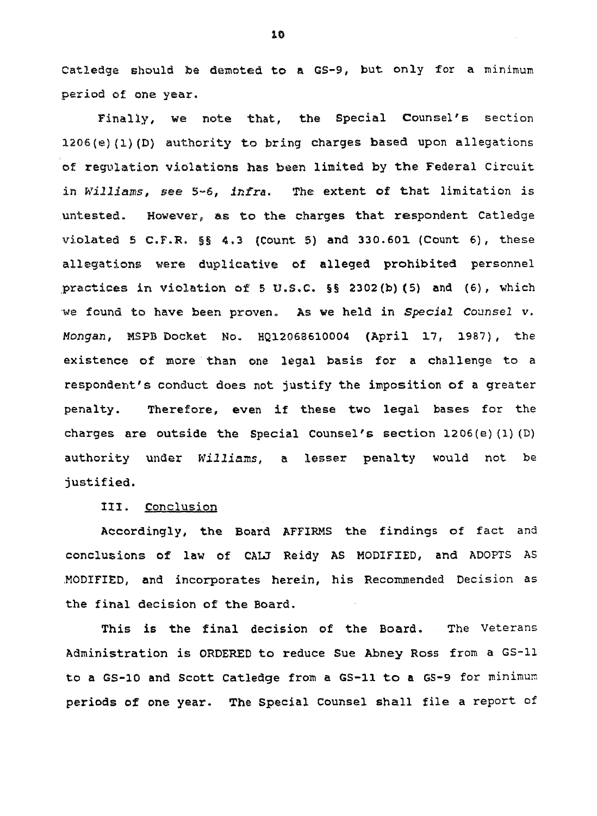Catledge should be demoted to a GS-9, but only for a minimum period of one year.

Finally, we note that, the Special Counsel's section 1206(e)(l)(D) authority to bring charges based upon allegations of regulation violations has been limited by the Federal Circuit in Williams, see 5-6, infra. The extent of that limitation is .untested. However, as to the charges that respondent Catledge violated 5 C.F.R.  $\S$ § 4.3 (Count 5) and 330.601 (Count 6), these allegations were duplicative of alleged prohibited personnel practices in violation of 5 U.S.C. §§ 2302 (b) (5) and (6), which we found to have been proven. As we held in Special Counsel v. Mongan, MSPB Docket No. HQ12068610004 (April 17, 1987), the existence of more than one legal basis for a challenge to a respondent's conduct does not justify the imposition of a greater penalty. Therefore, even if these two legal bases for the charges are outside the Special Counsel's section 1206(e)(1) (D) authority under Williams, a lesser penalty would not be justified.

## III. Conclusion

Accordingly, the Board AFFIRMS the findings of fact and conclusions of law of CALJ Reidy AS MODIFIED, and ADOPTS AS MODIFIED, and incorporates herein, his Recommended Decision as the final decision of the Board.

This is the final decision of the Board. The Veterans Administration is ORDERED to reduce Sue Abney Ross from a GS-11 to a GS-10 and Scott Catledge from a GS-11 to a GS-9 for minimum periods of one year. The Special Counsel shall file a report of